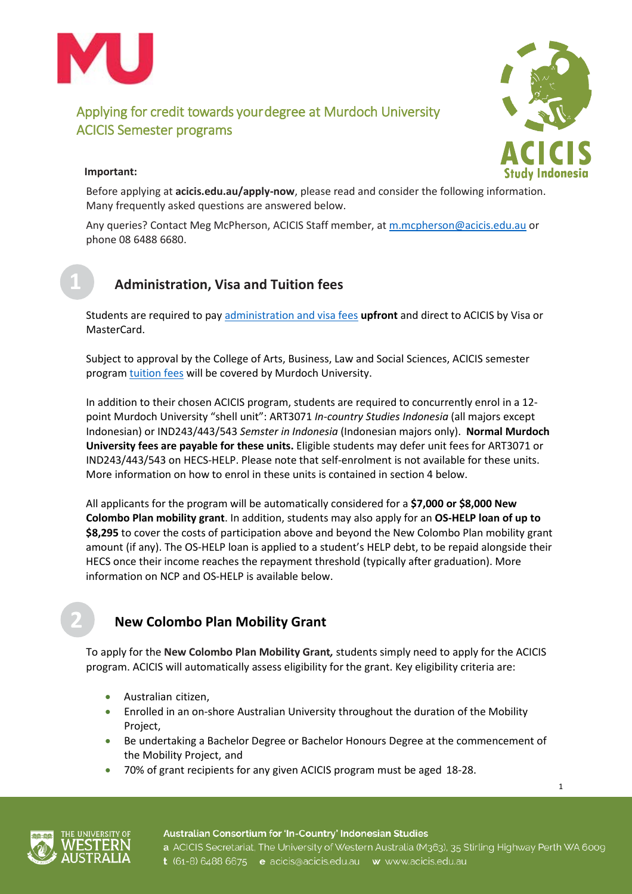



1

### **Important:**

Before applying at **[acicis.edu.au/apply-now](http://acicis.edu.au/apply-now)**, please read and consider the following information. Many frequently asked questions are answered below.

Any queries? Contact Meg McPherson, ACICIS Staff member, at [m.mcpherson@acicis.edu.au](mailto:m.mcpherson@acicis.edu.au) or phone 08 6488 6680.



## **Administration, Visa and Tuition fees**

Students are required to pa[y administration and visa fees](https://www.acicis.edu.au/programs/semester/costs/) **upfront** and direct to ACICIS by Visa or MasterCard.

Subject to approval by the College of Arts, Business, Law and Social Sciences, ACICIS semester program [tuition fees](https://www.acicis.edu.au/programs/semester/costs/) will be covered by Murdoch University.

In addition to their chosen ACICIS program, students are required to concurrently enrol in a 12 point Murdoch University "shell unit": ART3071 *In-country Studies Indonesia* (all majors except Indonesian) or IND243/443/543 *Semster in Indonesia* (Indonesian majors only). **Normal Murdoch University fees are payable for these units.** Eligible students may defer unit fees for ART3071 or IND243/443/543 on HECS-HELP. Please note that self-enrolment is not available for these units. More information on how to enrol in these units is contained in section 4 below.

All applicants for the program will be automatically considered for a **\$7,000 or \$8,000 New Colombo Plan mobility grant**. In addition, students may also apply for an **OS-HELP loan of up to \$8,295** to cover the costs of participation above and beyond the New Colombo Plan mobility grant amount (if any). The OS-HELP loan is applied to a student's HELP debt, to be repaid alongside their HECS once their income reaches the repayment threshold (typically after graduation). More information on NCP and OS-HELP is available below.

## **New Colombo Plan Mobility Grant**

To apply for the **New Colombo Plan Mobility Grant***,* students simply need to apply for the ACICIS program. ACICIS will automatically assess eligibility for the grant. Key eligibility criteria are:

- Australian citizen,
- Enrolled in an on-shore Australian University throughout the duration of the Mobility Project,
- Be undertaking a Bachelor Degree or Bachelor Honours Degree at the commencement of the Mobility Project, and
- 70% of grant recipients for any given ACICIS program must be aged 18-28.



Australian Consortium for 'In-Country' Indonesian Studies a ACICIS Secretariat, The University of Western Australia (M363), 35 Stirling Highway Perth WA 6009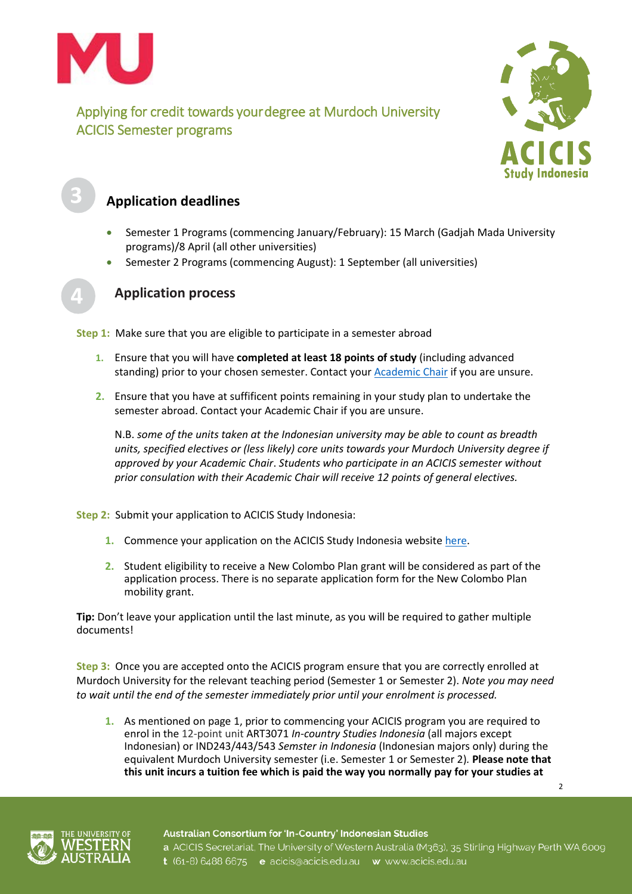



2

# **Application deadlines**

- Semester 1 Programs (commencing January/February): 15 March (Gadjah Mada University programs)/8 April (all other universities)
- Semester 2 Programs (commencing August): 1 September (all universities)



## **Application process**

**Step 1:** Make sure that you are eligible to participate in a semester abroad

- **1.** Ensure that you will have **completed at least 18 points of study** (including advanced standing) prior to your chosen semester. Contact your [Academic Chair](http://www.murdoch.edu.au/contacts/academic/) if you are unsure.
- **2.** Ensure that you have at suffificent points remaining in your study plan to undertake the semester abroad. Contact your Academic Chair if you are unsure.

N.B. *some of the units taken at the Indonesian university may be able to count as breadth units, specified electives or (less likely) core units towards your Murdoch University degree if approved by your Academic Chair*. *Students who participate in an ACICIS semester without prior consulation with their Academic Chair will receive 12 points of general electives.* 

**Step 2:** Submit your application to ACICIS Study Indonesia:

- **1.** Commence your application on the ACICIS Study Indonesia website [here.](http://www.acicis.edu.au/apply-now/)
- **2.** Student eligibility to receive a New Colombo Plan grant will be considered as part of the application process. There is no separate application form for the New Colombo Plan mobility grant.

**Tip:** Don't leave your application until the last minute, as you will be required to gather multiple documents!

**Step 3:** Once you are accepted onto the ACICIS program ensure that you are correctly enrolled at Murdoch University for the relevant teaching period (Semester 1 or Semester 2). *Note you may need to wait until the end of the semester immediately prior until your enrolment is processed.* 

**1.** As mentioned on page 1, prior to commencing your ACICIS program you are required to enrol in the 12-point unit ART3071 *In-country Studies Indonesia* (all majors except Indonesian) or IND243/443/543 *Semster in Indonesia* (Indonesian majors only) during the equivalent Murdoch University semester (i.e. Semester 1 or Semester 2)*.* **Please note that this unit incurs a tuition fee which is paid the way you normally pay for your studies at** 

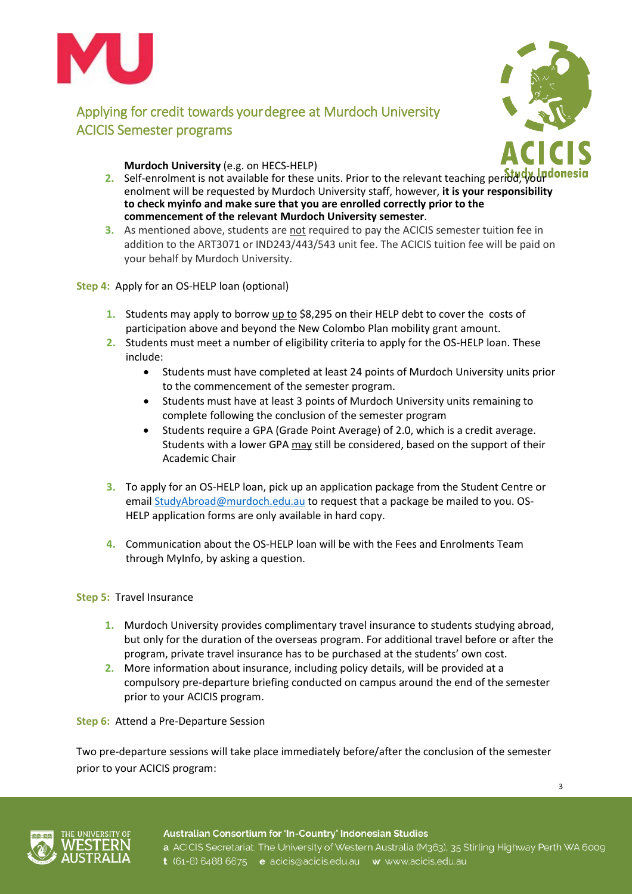



**Murdoch University** (e.g. on HECS-HELP)

- **2.** Self-enrolment is not available for these units. Prior to the relevant teaching period, your donesing enolment will be requested by Murdoch University staff, however, **it is your responsibility to check myinfo and make sure that you are enrolled correctly prior to the commencement of the relevant Murdoch University semester**.
- **3.** As mentioned above, students are not required to pay the ACICIS semester tuition fee in addition to the ART3071 or IND243/443/543 unit fee. The ACICIS tuition fee will be paid on your behalf by Murdoch University.

**Step 4:** Apply for an OS-HELP loan (optional)

- **1.** Students may apply to borrow up to \$8,295 on their HELP debt to cover the costs of participation above and beyond the New Colombo Plan mobility grant amount.
- **2.** Students must meet a number of eligibility criteria to apply for the OS-HELP loan. These include:
	- Students must have completed at least 24 points of Murdoch University units prior to the commencement of the semester program.
	- Students must have at least 3 points of Murdoch University units remaining to complete following the conclusion of the semester program
	- Students require a GPA (Grade Point Average) of 2.0, which is a credit average. Students with a lower GPA may still be considered, based on the support of their Academic Chair
- **3.** To apply for an OS-HELP loan, pick up an application package from the Student Centre or emai[l StudyAbroad@murdoch.edu.au](mailto:StudyAbroad@murdoch.edu.au) to request that a package be mailed to you. OS-HELP application forms are only available in hard copy.
- **4.** Communication about the OS-HELP loan will be with the Fees and Enrolments Team through MyInfo, by asking a question.

### **Step 5:** Travel Insurance

- **1.** Murdoch University provides complimentary travel insurance to students studying abroad, but only for the duration of the overseas program. For additional travel before or after the program, private travel insurance has to be purchased at the students' own cost.
- **2.** More information about insurance, including policy details, will be provided at a compulsory pre-departure briefing conducted on campus around the end of the semester prior to your ACICIS program.

### **Step 6:** Attend a Pre-Departure Session

Two pre-departure sessions will take place immediately before/after the conclusion of the semester prior to your ACICIS program:



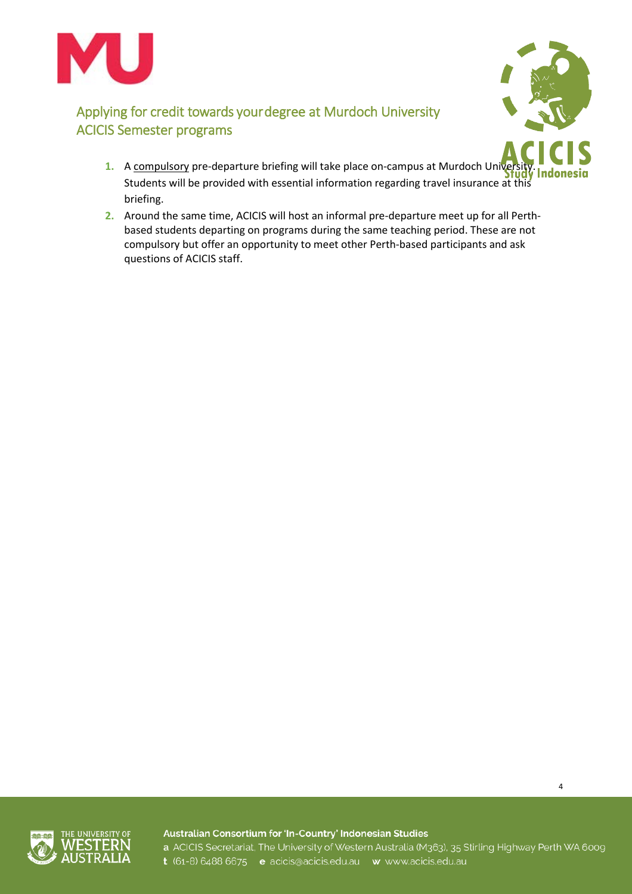



4

- **1.** A compulsory pre-departure briefing will take place on-campus at Murdoch University Students will be provided with essential information regarding travel insurance at this briefing.
- **2.** Around the same time, ACICIS will host an informal pre-departure meet up for all Perthbased students departing on programs during the same teaching period. These are not compulsory but offer an opportunity to meet other Perth-based participants and ask questions of ACICIS staff.



Australian Consortium for 'In-Country' Indonesian Studies a ACICIS Secretariat, The University of Western Australia (M363), 35 Stirling Highway Perth WA 6009 t (61-8) 6488 6675 e acicis@acicis.edu.au w www.acicis.edu.au